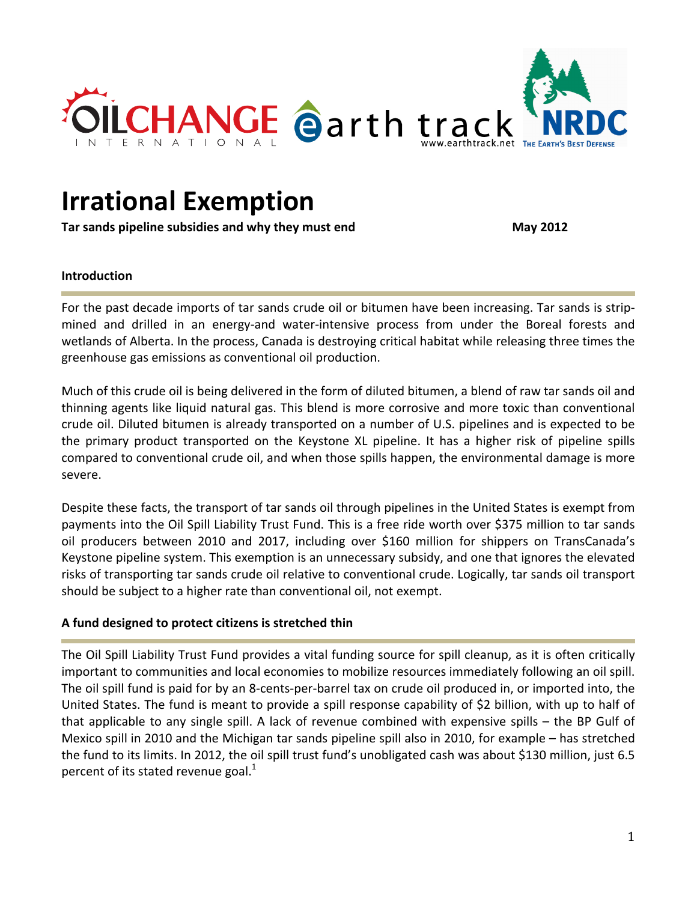

# **Irrational Exemption**

**Tar sands pipeline subsidies and why they must end May 2012**

### **Introduction**

For the past decade imports of tar sands crude oil or bitumen have been increasing. Tar sands is strip‐ mined and drilled in an energy-and water-intensive process from under the Boreal forests and wetlands of Alberta. In the process, Canada is destroying critical habitat while releasing three times the greenhouse gas emissions as conventional oil production.

Much of this crude oil is being delivered in the form of diluted bitumen, a blend of raw tar sands oil and thinning agents like liquid natural gas. This blend is more corrosive and more toxic than conventional crude oil. Diluted bitumen is already transported on a number of U.S. pipelines and is expected to be the primary product transported on the Keystone XL pipeline. It has a higher risk of pipeline spills compared to conventional crude oil, and when those spills happen, the environmental damage is more severe.

Despite these facts, the transport of tar sands oil through pipelines in the United States is exempt from payments into the Oil Spill Liability Trust Fund. This is a free ride worth over \$375 million to tar sands oil producers between 2010 and 2017, including over \$160 million for shippers on TransCanada's Keystone pipeline system. This exemption is an unnecessary subsidy, and one that ignores the elevated risks of transporting tar sands crude oil relative to conventional crude. Logically, tar sands oil transport should be subject to a higher rate than conventional oil, not exempt.

## **A fund designed to protect citizens is stretched thin**

The Oil Spill Liability Trust Fund provides a vital funding source for spill cleanup, as it is often critically important to communities and local economies to mobilize resources immediately following an oil spill. The oil spill fund is paid for by an 8‐cents‐per‐barrel tax on crude oil produced in, or imported into, the United States. The fund is meant to provide a spill response capability of \$2 billion, with up to half of that applicable to any single spill. A lack of revenue combined with expensive spills – the BP Gulf of Mexico spill in 2010 and the Michigan tar sands pipeline spill also in 2010, for example – has stretched the fund to its limits. In 2012, the oil spill trust fund's unobligated cash was about \$130 million, just 6.5 percent of its stated revenue goal. $<sup>1</sup>$ </sup>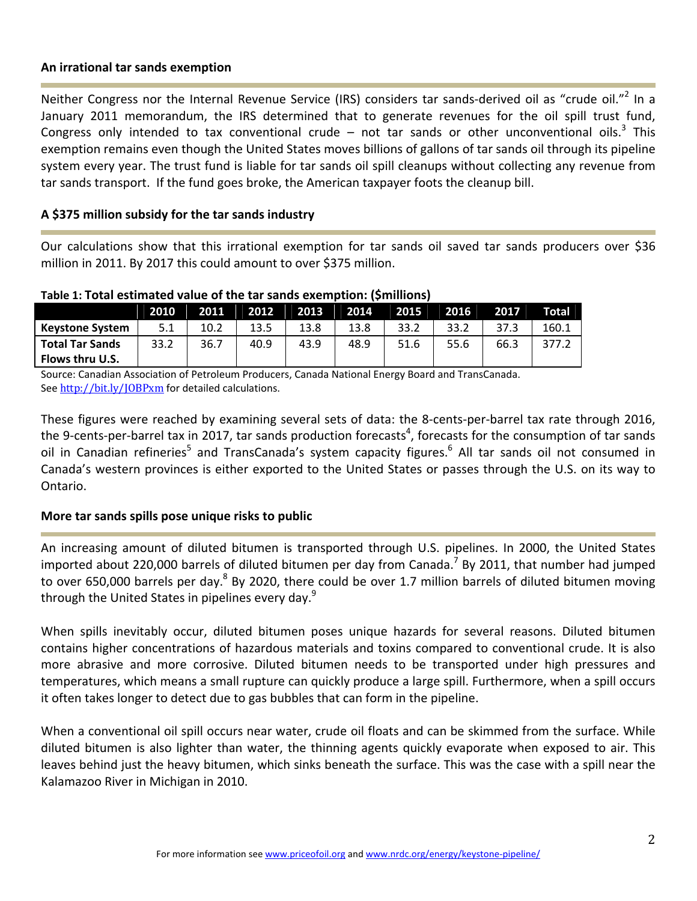#### **An irrational tar sands exemption**

Neither Congress nor the Internal Revenue Service (IRS) considers tar sands-derived oil as "crude oil."<sup>2</sup> In a January 2011 memorandum, the IRS determined that to generate revenues for the oil spill trust fund, Congress only intended to tax conventional crude – not tar sands or other unconventional oils.<sup>3</sup> This exemption remains even though the United States moves billions of gallons of tar sands oil through its pipeline system every year. The trust fund is liable for tar sands oil spill cleanups without collecting any revenue from tar sands transport. If the fund goes broke, the American taxpayer foots the cleanup bill.

## **A \$375 million subsidy for the tar sands industry**

Our calculations show that this irrational exemption for tar sands oil saved tar sands producers over \$36 million in 2011. By 2017 this could amount to over \$375 million.

|                        | 2010 | 2011 | 2012 | 2013 | 2014 | 2015 | 2016 | 2017 | Total |
|------------------------|------|------|------|------|------|------|------|------|-------|
| <b>Keystone System</b> | 5.1  | 10.2 | 13.5 | 13.8 | 13.8 | 33.2 | 33.2 | 37.3 | 160.1 |
| <b>Total Tar Sands</b> | 33.2 | 36.7 | 40.9 | 43.9 | 48.9 | 51.6 | 55.6 | 66.3 | 377.2 |
| Flows thru U.S.        |      |      |      |      |      |      |      |      |       |

**Table 1: Total estimated value of the tar sands exemption: (\$millions)**

Source: Canadian Association of Petroleum Producers, Canada National Energy Board and TransCanada. See http://bit.ly/JOBPxm for detailed calculations.

These figures were reached by examining several sets of data: the 8-cents-per-barrel tax rate through 2016, the 9-cents-per-barrel tax in 2017, tar sands production forecasts<sup>4</sup>, forecasts for the consumption of tar sands oil in Canadian refineries<sup>5</sup> and TransCanada's system capacity figures.<sup>6</sup> All tar sands oil not consumed in Canada's western provinces is either exported to the United States or passes through the U.S. on its way to Ontario.

## **More tar sands spills pose unique risks to public**

An increasing amount of diluted bitumen is transported through U.S. pipelines. In 2000, the United States imported about 220,000 barrels of diluted bitumen per day from Canada.<sup>7</sup> By 2011, that number had jumped to over 650,000 barrels per day.<sup>8</sup> By 2020, there could be over 1.7 million barrels of diluted bitumen moving through the United States in pipelines every day. $9$ 

When spills inevitably occur, diluted bitumen poses unique hazards for several reasons. Diluted bitumen contains higher concentrations of hazardous materials and toxins compared to conventional crude. It is also more abrasive and more corrosive. Diluted bitumen needs to be transported under high pressures and temperatures, which means a small rupture can quickly produce a large spill. Furthermore, when a spill occurs it often takes longer to detect due to gas bubbles that can form in the pipeline.

When a conventional oil spill occurs near water, crude oil floats and can be skimmed from the surface. While diluted bitumen is also lighter than water, the thinning agents quickly evaporate when exposed to air. This leaves behind just the heavy bitumen, which sinks beneath the surface. This was the case with a spill near the Kalamazoo River in Michigan in 2010.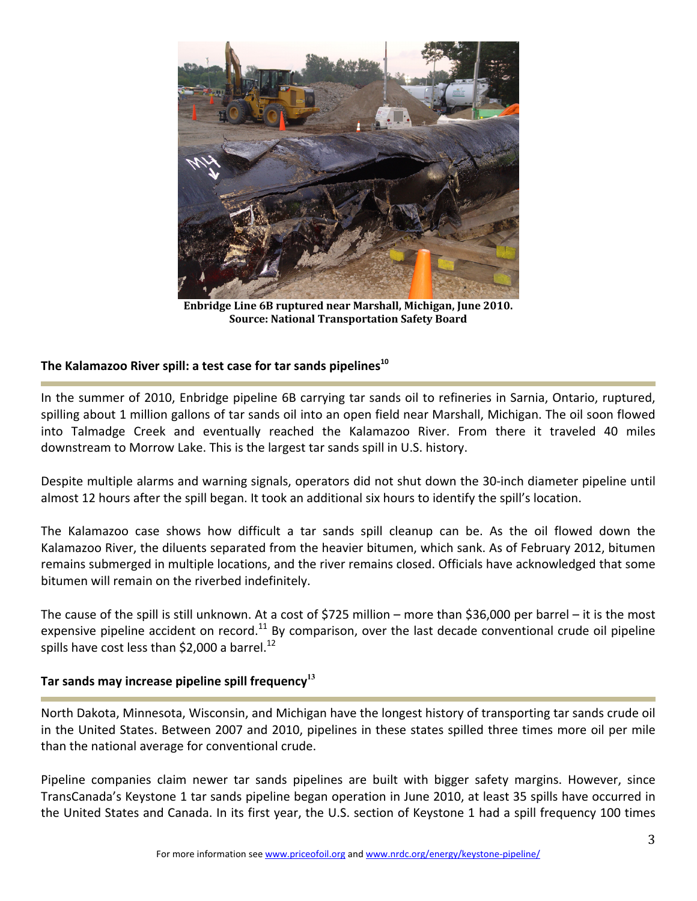

**Enbridge Line 6B ruptured near Marshall, Michigan, June 2010. Source: National Transportation Safety Board**

# **The Kalamazoo River spill: a test case for tar sands pipelines<sup>10</sup>**

In the summer of 2010, Enbridge pipeline 6B carrying tar sands oil to refineries in Sarnia, Ontario, ruptured, spilling about 1 million gallons of tar sands oil into an open field near Marshall, Michigan. The oil soon flowed into Talmadge Creek and eventually reached the Kalamazoo River. From there it traveled 40 miles downstream to Morrow Lake. This is the largest tar sands spill in U.S. history.

Despite multiple alarms and warning signals, operators did not shut down the 30‐inch diameter pipeline until almost 12 hours after the spill began. It took an additional six hours to identify the spill's location.

The Kalamazoo case shows how difficult a tar sands spill cleanup can be. As the oil flowed down the Kalamazoo River, the diluents separated from the heavier bitumen, which sank. As of February 2012, bitumen remains submerged in multiple locations, and the river remains closed. Officials have acknowledged that some bitumen will remain on the riverbed indefinitely.

The cause of the spill is still unknown. At a cost of \$725 million – more than \$36,000 per barrel – it is the most expensive pipeline accident on record.<sup>11</sup> By comparison, over the last decade conventional crude oil pipeline spills have cost less than \$2,000 a barrel.<sup>12</sup>

# **Tar sands may increase pipeline spill frequency<sup>13</sup>**

North Dakota, Minnesota, Wisconsin, and Michigan have the longest history of transporting tar sands crude oil in the United States. Between 2007 and 2010, pipelines in these states spilled three times more oil per mile than the national average for conventional crude.

Pipeline companies claim newer tar sands pipelines are built with bigger safety margins. However, since TransCanada's Keystone 1 tar sands pipeline began operation in June 2010, at least 35 spills have occurred in the United States and Canada. In its first year, the U.S. section of Keystone 1 had a spill frequency 100 times